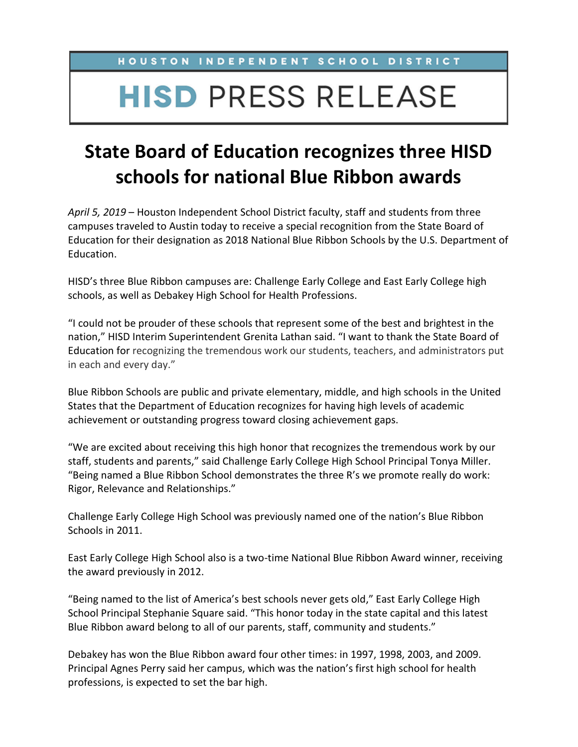## **HISD PRESS RELEASE**

## **State Board of Education recognizes three HISD schools for national Blue Ribbon awards**

*April 5, 2019* – Houston Independent School District faculty, staff and students from three campuses traveled to Austin today to receive a special recognition from the State Board of Education for their designation as 2018 National Blue Ribbon Schools by the U.S. Department of Education.

HISD's three Blue Ribbon campuses are: Challenge Early College and East Early College high schools, as well as Debakey High School for Health Professions.

"I could not be prouder of these schools that represent some of the best and brightest in the nation," HISD Interim Superintendent Grenita Lathan said. "I want to thank the State Board of Education for recognizing the tremendous work our students, teachers, and administrators put in each and every day."

Blue Ribbon Schools are public and private elementary, middle, and high schools in the United States that the Department of Education recognizes for having high levels of academic achievement or outstanding progress toward closing achievement gaps.

"We are excited about receiving this high honor that recognizes the tremendous work by our staff, students and parents," said Challenge Early College High School Principal Tonya Miller. "Being named a Blue Ribbon School demonstrates the three R's we promote really do work: Rigor, Relevance and Relationships."

Challenge Early College High School was previously named one of the nation's Blue Ribbon Schools in 2011.

East Early College High School also is a two-time National Blue Ribbon Award winner, receiving the award previously in 2012.

"Being named to the list of America's best schools never gets old," East Early College High School Principal Stephanie Square said. "This honor today in the state capital and this latest Blue Ribbon award belong to all of our parents, staff, community and students."

Debakey has won the Blue Ribbon award four other times: in 1997, 1998, 2003, and 2009. Principal Agnes Perry said her campus, which was the nation's first high school for health professions, is expected to set the bar high.